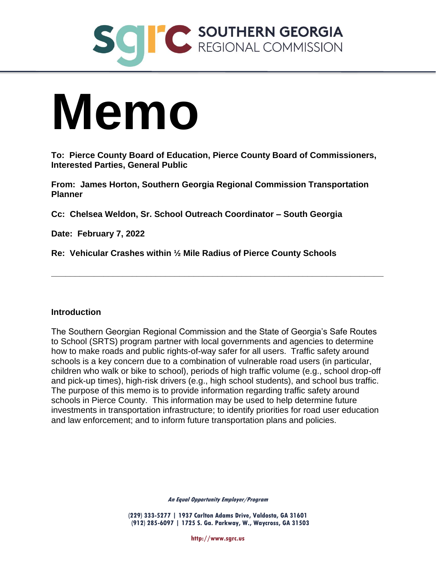

# **Memo**

**To: Pierce County Board of Education, Pierce County Board of Commissioners, Interested Parties, General Public**

**From: James Horton, Southern Georgia Regional Commission Transportation Planner**

**Cc: Chelsea Weldon, Sr. School Outreach Coordinator – South Georgia**

**Date: February 7, 2022**

**Re: Vehicular Crashes within ½ Mile Radius of Pierce County Schools**

#### **Introduction**

The Southern Georgian Regional Commission and the State of Georgia's Safe Routes to School (SRTS) program partner with local governments and agencies to determine how to make roads and public rights-of-way safer for all users. Traffic safety around schools is a key concern due to a combination of vulnerable road users (in particular, children who walk or bike to school), periods of high traffic volume (e.g., school drop-off and pick-up times), high-risk drivers (e.g., high school students), and school bus traffic. The purpose of this memo is to provide information regarding traffic safety around schools in Pierce County. This information may be used to help determine future investments in transportation infrastructure; to identify priorities for road user education and law enforcement; and to inform future transportation plans and policies.

**\_\_\_\_\_\_\_\_\_\_\_\_\_\_\_\_\_\_\_\_\_\_\_\_\_\_\_\_\_\_\_\_\_\_\_\_\_\_\_\_\_\_\_\_\_\_\_\_\_\_\_\_\_\_\_\_\_\_\_\_\_\_\_\_\_\_\_\_\_\_**

**An Equal Opportunity Employer/Program**

**(229) 333-5277 | 1937 Carlton Adams Drive, Valdosta, GA 31601 (912) 285-6097 | 1725 S. Ga. Parkway, W., Waycross, GA 31503**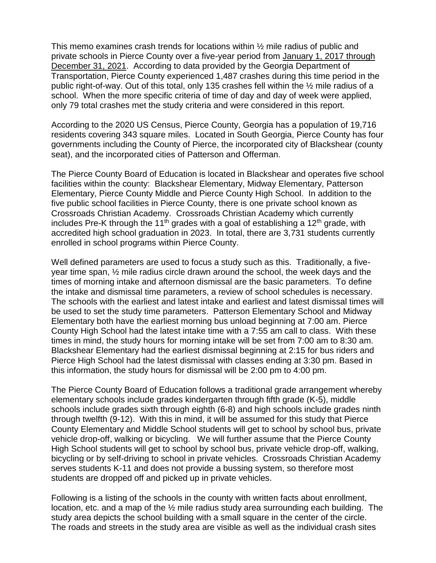This memo examines crash trends for locations within ½ mile radius of public and private schools in Pierce County over a five-year period from January 1, 2017 through December 31, 2021. According to data provided by the Georgia Department of Transportation, Pierce County experienced 1,487 crashes during this time period in the public right-of-way. Out of this total, only 135 crashes fell within the ½ mile radius of a school. When the more specific criteria of time of day and day of week were applied, only 79 total crashes met the study criteria and were considered in this report.

According to the 2020 US Census, Pierce County, Georgia has a population of 19,716 residents covering 343 square miles. Located in South Georgia, Pierce County has four governments including the County of Pierce, the incorporated city of Blackshear (county seat), and the incorporated cities of Patterson and Offerman.

The Pierce County Board of Education is located in Blackshear and operates five school facilities within the county: Blackshear Elementary, Midway Elementary, Patterson Elementary, Pierce County Middle and Pierce County High School. In addition to the five public school facilities in Pierce County, there is one private school known as Crossroads Christian Academy. Crossroads Christian Academy which currently includes Pre-K through the 11<sup>th</sup> grades with a goal of establishing a 12<sup>th</sup> grade, with accredited high school graduation in 2023. In total, there are 3,731 students currently enrolled in school programs within Pierce County.

Well defined parameters are used to focus a study such as this. Traditionally, a fiveyear time span, ½ mile radius circle drawn around the school, the week days and the times of morning intake and afternoon dismissal are the basic parameters. To define the intake and dismissal time parameters, a review of school schedules is necessary. The schools with the earliest and latest intake and earliest and latest dismissal times will be used to set the study time parameters. Patterson Elementary School and Midway Elementary both have the earliest morning bus unload beginning at 7:00 am. Pierce County High School had the latest intake time with a 7:55 am call to class. With these times in mind, the study hours for morning intake will be set from 7:00 am to 8:30 am. Blackshear Elementary had the earliest dismissal beginning at 2:15 for bus riders and Pierce High School had the latest dismissal with classes ending at 3:30 pm. Based in this information, the study hours for dismissal will be 2:00 pm to 4:00 pm.

The Pierce County Board of Education follows a traditional grade arrangement whereby elementary schools include grades kindergarten through fifth grade (K-5), middle schools include grades sixth through eighth (6-8) and high schools include grades ninth through twelfth (9-12). With this in mind, it will be assumed for this study that Pierce County Elementary and Middle School students will get to school by school bus, private vehicle drop-off, walking or bicycling. We will further assume that the Pierce County High School students will get to school by school bus, private vehicle drop-off, walking, bicycling or by self-driving to school in private vehicles. Crossroads Christian Academy serves students K-11 and does not provide a bussing system, so therefore most students are dropped off and picked up in private vehicles.

Following is a listing of the schools in the county with written facts about enrollment, location, etc. and a map of the  $\frac{1}{2}$  mile radius study area surrounding each building. The study area depicts the school building with a small square in the center of the circle. The roads and streets in the study area are visible as well as the individual crash sites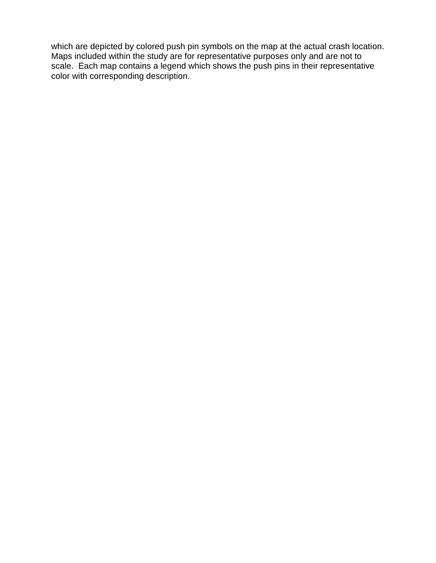which are depicted by colored push pin symbols on the map at the actual crash location. Maps included within the study are for representative purposes only and are not to scale. Each map contains a legend which shows the push pins in their representative color with corresponding description.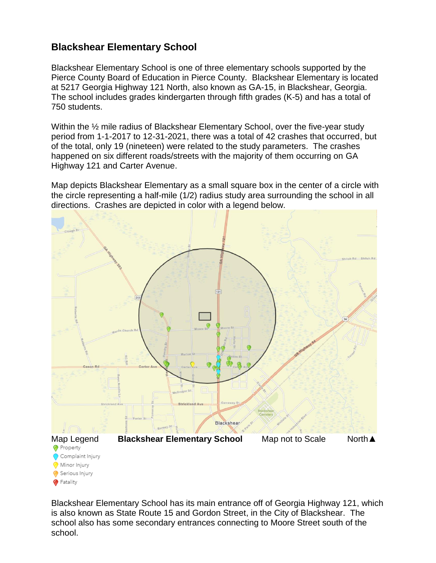#### **Blackshear Elementary School**

Blackshear Elementary School is one of three elementary schools supported by the Pierce County Board of Education in Pierce County. Blackshear Elementary is located at 5217 Georgia Highway 121 North, also known as GA-15, in Blackshear, Georgia. The school includes grades kindergarten through fifth grades (K-5) and has a total of 750 students.

Within the <sup>1/2</sup> mile radius of Blackshear Elementary School, over the five-year study period from 1-1-2017 to 12-31-2021, there was a total of 42 crashes that occurred, but of the total, only 19 (nineteen) were related to the study parameters. The crashes happened on six different roads/streets with the majority of them occurring on GA Highway 121 and Carter Avenue.

Map depicts Blackshear Elementary as a small square box in the center of a circle with the circle representing a half-mile (1/2) radius study area surrounding the school in all directions. Crashes are depicted in color with a legend below.



Blackshear Elementary School has its main entrance off of Georgia Highway 121, which is also known as State Route 15 and Gordon Street, in the City of Blackshear. The school also has some secondary entrances connecting to Moore Street south of the school.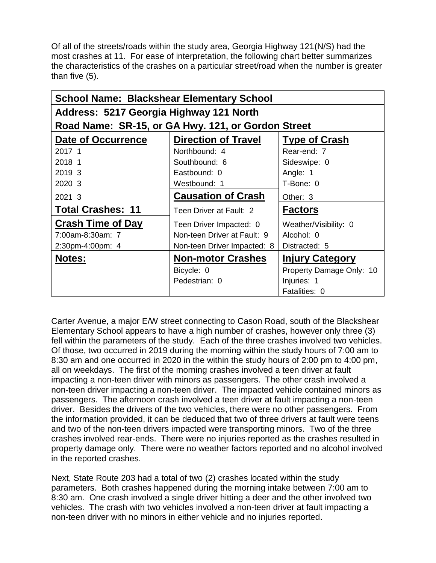Of all of the streets/roads within the study area, Georgia Highway 121(N/S) had the most crashes at 11. For ease of interpretation, the following chart better summarizes the characteristics of the crashes on a particular street/road when the number is greater than five (5).

| <b>School Name: Blackshear Elementary School</b>   |                             |                          |  |  |
|----------------------------------------------------|-----------------------------|--------------------------|--|--|
| Address: 5217 Georgia Highway 121 North            |                             |                          |  |  |
| Road Name: SR-15, or GA Hwy. 121, or Gordon Street |                             |                          |  |  |
| Date of Occurrence                                 | <b>Direction of Travel</b>  | <b>Type of Crash</b>     |  |  |
| 2017 1                                             | Northbound: 4               | Rear-end: 7              |  |  |
| 2018 1                                             | Southbound: 6               | Sideswipe: 0             |  |  |
| 2019 3                                             | Eastbound: 0                | Angle: 1                 |  |  |
| 2020 3                                             | Westbound: 1                | T-Bone: 0                |  |  |
| 2021 3                                             | <b>Causation of Crash</b>   | Other: 3                 |  |  |
| <b>Total Crashes: 11</b>                           | Teen Driver at Fault: 2     | <b>Factors</b>           |  |  |
| <b>Crash Time of Day</b>                           | Teen Driver Impacted: 0     | Weather/Visibility: 0    |  |  |
| 7:00am-8:30am: 7                                   | Non-teen Driver at Fault: 9 | Alcohol: 0               |  |  |
| 2:30pm-4:00pm: 4                                   | Non-teen Driver Impacted: 8 | Distracted: 5            |  |  |
| <b>Notes:</b>                                      | <b>Non-motor Crashes</b>    | <b>Injury Category</b>   |  |  |
|                                                    | Bicycle: 0                  | Property Damage Only: 10 |  |  |
|                                                    | Pedestrian: 0               | Injuries: 1              |  |  |
|                                                    |                             | Fatalities: 0            |  |  |

Carter Avenue, a major E/W street connecting to Cason Road, south of the Blackshear Elementary School appears to have a high number of crashes, however only three (3) fell within the parameters of the study. Each of the three crashes involved two vehicles. Of those, two occurred in 2019 during the morning within the study hours of 7:00 am to 8:30 am and one occurred in 2020 in the within the study hours of 2:00 pm to 4:00 pm, all on weekdays. The first of the morning crashes involved a teen driver at fault impacting a non-teen driver with minors as passengers. The other crash involved a non-teen driver impacting a non-teen driver. The impacted vehicle contained minors as passengers. The afternoon crash involved a teen driver at fault impacting a non-teen driver. Besides the drivers of the two vehicles, there were no other passengers. From the information provided, it can be deduced that two of three drivers at fault were teens and two of the non-teen drivers impacted were transporting minors. Two of the three crashes involved rear-ends. There were no injuries reported as the crashes resulted in property damage only. There were no weather factors reported and no alcohol involved in the reported crashes.

Next, State Route 203 had a total of two (2) crashes located within the study parameters. Both crashes happened during the morning intake between 7:00 am to 8:30 am. One crash involved a single driver hitting a deer and the other involved two vehicles. The crash with two vehicles involved a non-teen driver at fault impacting a non-teen driver with no minors in either vehicle and no injuries reported.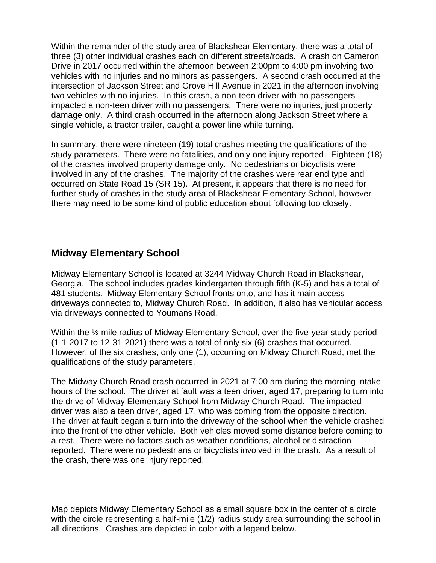Within the remainder of the study area of Blackshear Elementary, there was a total of three (3) other individual crashes each on different streets/roads. A crash on Cameron Drive in 2017 occurred within the afternoon between 2:00pm to 4:00 pm involving two vehicles with no injuries and no minors as passengers. A second crash occurred at the intersection of Jackson Street and Grove Hill Avenue in 2021 in the afternoon involving two vehicles with no injuries. In this crash, a non-teen driver with no passengers impacted a non-teen driver with no passengers. There were no injuries, just property damage only. A third crash occurred in the afternoon along Jackson Street where a single vehicle, a tractor trailer, caught a power line while turning.

In summary, there were nineteen (19) total crashes meeting the qualifications of the study parameters. There were no fatalities, and only one injury reported. Eighteen (18) of the crashes involved property damage only. No pedestrians or bicyclists were involved in any of the crashes. The majority of the crashes were rear end type and occurred on State Road 15 (SR 15). At present, it appears that there is no need for further study of crashes in the study area of Blackshear Elementary School, however there may need to be some kind of public education about following too closely.

#### **Midway Elementary School**

Midway Elementary School is located at 3244 Midway Church Road in Blackshear, Georgia. The school includes grades kindergarten through fifth (K-5) and has a total of 481 students. Midway Elementary School fronts onto, and has it main access driveways connected to, Midway Church Road. In addition, it also has vehicular access via driveways connected to Youmans Road.

Within the  $\frac{1}{2}$  mile radius of Midway Elementary School, over the five-year study period (1-1-2017 to 12-31-2021) there was a total of only six (6) crashes that occurred. However, of the six crashes, only one (1), occurring on Midway Church Road, met the qualifications of the study parameters.

The Midway Church Road crash occurred in 2021 at 7:00 am during the morning intake hours of the school. The driver at fault was a teen driver, aged 17, preparing to turn into the drive of Midway Elementary School from Midway Church Road. The impacted driver was also a teen driver, aged 17, who was coming from the opposite direction. The driver at fault began a turn into the driveway of the school when the vehicle crashed into the front of the other vehicle. Both vehicles moved some distance before coming to a rest. There were no factors such as weather conditions, alcohol or distraction reported. There were no pedestrians or bicyclists involved in the crash. As a result of the crash, there was one injury reported.

Map depicts Midway Elementary School as a small square box in the center of a circle with the circle representing a half-mile (1/2) radius study area surrounding the school in all directions. Crashes are depicted in color with a legend below.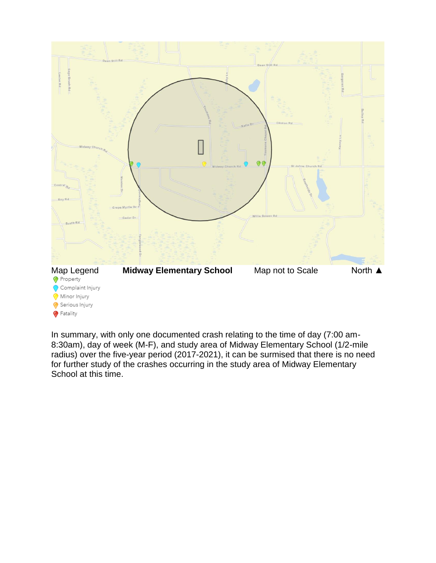

In summary, with only one documented crash relating to the time of day (7:00 am-8:30am), day of week (M-F), and study area of Midway Elementary School (1/2-mile radius) over the five-year period (2017-2021), it can be surmised that there is no need for further study of the crashes occurring in the study area of Midway Elementary School at this time.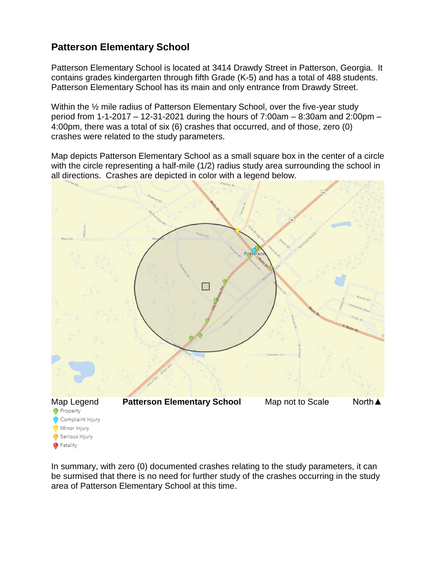# **Patterson Elementary School**

Fatality

Patterson Elementary School is located at 3414 Drawdy Street in Patterson, Georgia. It contains grades kindergarten through fifth Grade (K-5) and has a total of 488 students. Patterson Elementary School has its main and only entrance from Drawdy Street.

Within the ½ mile radius of Patterson Elementary School, over the five-year study period from 1-1-2017 – 12-31-2021 during the hours of 7:00am – 8:30am and 2:00pm – 4:00pm, there was a total of six (6) crashes that occurred, and of those, zero (0) crashes were related to the study parameters.

Map depicts Patterson Elementary School as a small square box in the center of a circle with the circle representing a half-mile (1/2) radius study area surrounding the school in all directions. Crashes are depicted in color with a legend below.



In summary, with zero (0) documented crashes relating to the study parameters, it can be surmised that there is no need for further study of the crashes occurring in the study area of Patterson Elementary School at this time.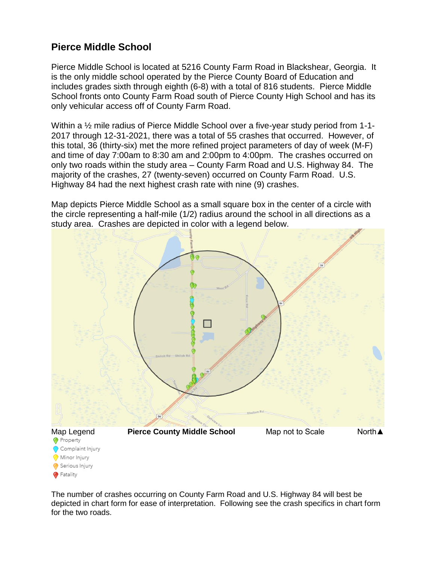#### **Pierce Middle School**

Pierce Middle School is located at 5216 County Farm Road in Blackshear, Georgia. It is the only middle school operated by the Pierce County Board of Education and includes grades sixth through eighth (6-8) with a total of 816 students. Pierce Middle School fronts onto County Farm Road south of Pierce County High School and has its only vehicular access off of County Farm Road.

Within a ½ mile radius of Pierce Middle School over a five-year study period from 1-1- 2017 through 12-31-2021, there was a total of 55 crashes that occurred. However, of this total, 36 (thirty-six) met the more refined project parameters of day of week (M-F) and time of day 7:00am to 8:30 am and 2:00pm to 4:00pm. The crashes occurred on only two roads within the study area – County Farm Road and U.S. Highway 84. The majority of the crashes, 27 (twenty-seven) occurred on County Farm Road. U.S. Highway 84 had the next highest crash rate with nine (9) crashes.

Map depicts Pierce Middle School as a small square box in the center of a circle with the circle representing a half-mile (1/2) radius around the school in all directions as a study area. Crashes are depicted in color with a legend below.



The number of crashes occurring on County Farm Road and U.S. Highway 84 will best be depicted in chart form for ease of interpretation. Following see the crash specifics in chart form for the two roads.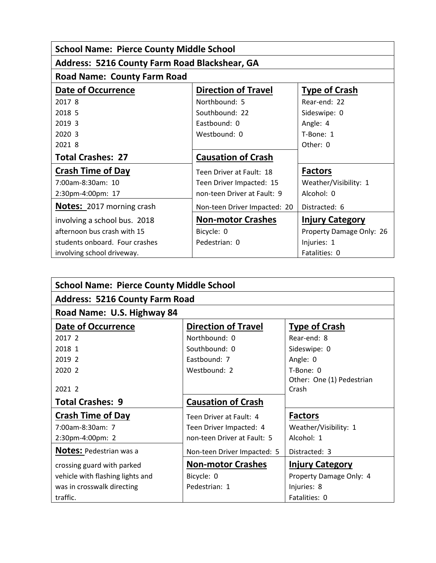| <b>School Name: Pierce County Middle School</b>      |                              |                          |  |  |
|------------------------------------------------------|------------------------------|--------------------------|--|--|
| <b>Address: 5216 County Farm Road Blackshear, GA</b> |                              |                          |  |  |
| <b>Road Name: County Farm Road</b>                   |                              |                          |  |  |
| <b>Date of Occurrence</b>                            | <b>Direction of Travel</b>   | <b>Type of Crash</b>     |  |  |
| 2017 8                                               | Northbound: 5                | Rear-end: 22             |  |  |
| 2018 5                                               | Southbound: 22               | Sideswipe: 0             |  |  |
| 2019 3                                               | Eastbound: 0                 | Angle: 4                 |  |  |
| 2020 3                                               | Westbound: 0                 | T-Bone: 1                |  |  |
| 2021 8                                               |                              | Other: 0                 |  |  |
| <b>Total Crashes: 27</b>                             | <b>Causation of Crash</b>    |                          |  |  |
| <b>Crash Time of Day</b>                             | Teen Driver at Fault: 18     | <b>Factors</b>           |  |  |
| 7:00am-8:30am: 10                                    | Teen Driver Impacted: 15     | Weather/Visibility: 1    |  |  |
| 2:30pm-4:00pm: 17                                    | non-teen Driver at Fault: 9  | Alcohol: 0               |  |  |
| <b>Notes:</b> 2017 morning crash                     | Non-teen Driver Impacted: 20 | Distracted: 6            |  |  |
| involving a school bus. 2018                         | <b>Non-motor Crashes</b>     | <b>Injury Category</b>   |  |  |
| afternoon bus crash with 15                          | Bicycle: 0                   | Property Damage Only: 26 |  |  |
| students onboard. Four crashes                       | Pedestrian: 0                | Injuries: 1              |  |  |
| involving school driveway.                           |                              | Fatalities: 0            |  |  |

| <b>School Name: Pierce County Middle School</b> |                             |                           |  |  |
|-------------------------------------------------|-----------------------------|---------------------------|--|--|
| <b>Address: 5216 County Farm Road</b>           |                             |                           |  |  |
| Road Name: U.S. Highway 84                      |                             |                           |  |  |
| <b>Date of Occurrence</b>                       | <b>Direction of Travel</b>  | <b>Type of Crash</b>      |  |  |
| 2017 2                                          | Northbound: 0               | Rear-end: 8               |  |  |
| 2018 1                                          | Southbound: 0               | Sideswipe: 0              |  |  |
| 2019 2                                          | Eastbound: 7                | Angle: 0                  |  |  |
| 2020 2                                          | Westbound: 2                | T-Bone: 0                 |  |  |
|                                                 |                             | Other: One (1) Pedestrian |  |  |
| 2021 2                                          |                             | Crash                     |  |  |
| <b>Total Crashes: 9</b>                         | <b>Causation of Crash</b>   |                           |  |  |
| <b>Crash Time of Day</b>                        | Teen Driver at Fault: 4     | <b>Factors</b>            |  |  |
| 7:00am-8:30am: 7                                | Teen Driver Impacted: 4     | Weather/Visibility: 1     |  |  |
| 2:30pm-4:00pm: 2                                | non-teen Driver at Fault: 5 | Alcohol: 1                |  |  |
| <b>Notes:</b> Pedestrian was a                  | Non-teen Driver Impacted: 5 | Distracted: 3             |  |  |
| crossing guard with parked                      | <b>Non-motor Crashes</b>    | <b>Injury Category</b>    |  |  |
| vehicle with flashing lights and                | Bicycle: 0                  | Property Damage Only: 4   |  |  |
| was in crosswalk directing                      | Pedestrian: 1               | Injuries: 8               |  |  |
| traffic.                                        |                             | Fatalities: 0             |  |  |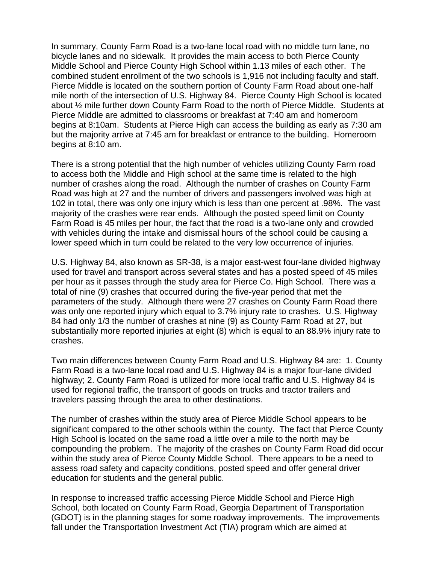In summary, County Farm Road is a two-lane local road with no middle turn lane, no bicycle lanes and no sidewalk. It provides the main access to both Pierce County Middle School and Pierce County High School within 1.13 miles of each other. The combined student enrollment of the two schools is 1,916 not including faculty and staff. Pierce Middle is located on the southern portion of County Farm Road about one-half mile north of the intersection of U.S. Highway 84. Pierce County High School is located about ½ mile further down County Farm Road to the north of Pierce Middle. Students at Pierce Middle are admitted to classrooms or breakfast at 7:40 am and homeroom begins at 8:10am. Students at Pierce High can access the building as early as 7:30 am but the majority arrive at 7:45 am for breakfast or entrance to the building. Homeroom begins at 8:10 am.

There is a strong potential that the high number of vehicles utilizing County Farm road to access both the Middle and High school at the same time is related to the high number of crashes along the road. Although the number of crashes on County Farm Road was high at 27 and the number of drivers and passengers involved was high at 102 in total, there was only one injury which is less than one percent at .98%. The vast majority of the crashes were rear ends. Although the posted speed limit on County Farm Road is 45 miles per hour, the fact that the road is a two-lane only and crowded with vehicles during the intake and dismissal hours of the school could be causing a lower speed which in turn could be related to the very low occurrence of injuries.

U.S. Highway 84, also known as SR-38, is a major east-west four-lane divided highway used for travel and transport across several states and has a posted speed of 45 miles per hour as it passes through the study area for Pierce Co. High School. There was a total of nine (9) crashes that occurred during the five-year period that met the parameters of the study. Although there were 27 crashes on County Farm Road there was only one reported injury which equal to 3.7% injury rate to crashes. U.S. Highway 84 had only 1/3 the number of crashes at nine (9) as County Farm Road at 27, but substantially more reported injuries at eight (8) which is equal to an 88.9% injury rate to crashes.

Two main differences between County Farm Road and U.S. Highway 84 are: 1. County Farm Road is a two-lane local road and U.S. Highway 84 is a major four-lane divided highway; 2. County Farm Road is utilized for more local traffic and U.S. Highway 84 is used for regional traffic, the transport of goods on trucks and tractor trailers and travelers passing through the area to other destinations.

The number of crashes within the study area of Pierce Middle School appears to be significant compared to the other schools within the county. The fact that Pierce County High School is located on the same road a little over a mile to the north may be compounding the problem. The majority of the crashes on County Farm Road did occur within the study area of Pierce County Middle School. There appears to be a need to assess road safety and capacity conditions, posted speed and offer general driver education for students and the general public.

In response to increased traffic accessing Pierce Middle School and Pierce High School, both located on County Farm Road, Georgia Department of Transportation (GDOT) is in the planning stages for some roadway improvements. The improvements fall under the Transportation Investment Act (TIA) program which are aimed at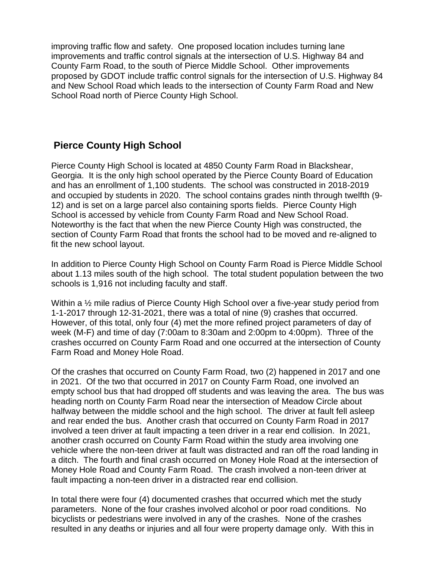improving traffic flow and safety. One proposed location includes turning lane improvements and traffic control signals at the intersection of U.S. Highway 84 and County Farm Road, to the south of Pierce Middle School. Other improvements proposed by GDOT include traffic control signals for the intersection of U.S. Highway 84 and New School Road which leads to the intersection of County Farm Road and New School Road north of Pierce County High School.

## **Pierce County High School**

Pierce County High School is located at 4850 County Farm Road in Blackshear, Georgia. It is the only high school operated by the Pierce County Board of Education and has an enrollment of 1,100 students. The school was constructed in 2018-2019 and occupied by students in 2020. The school contains grades ninth through twelfth (9- 12) and is set on a large parcel also containing sports fields. Pierce County High School is accessed by vehicle from County Farm Road and New School Road. Noteworthy is the fact that when the new Pierce County High was constructed, the section of County Farm Road that fronts the school had to be moved and re-aligned to fit the new school layout.

In addition to Pierce County High School on County Farm Road is Pierce Middle School about 1.13 miles south of the high school. The total student population between the two schools is 1,916 not including faculty and staff.

Within a  $\frac{1}{2}$  mile radius of Pierce County High School over a five-year study period from 1-1-2017 through 12-31-2021, there was a total of nine (9) crashes that occurred. However, of this total, only four (4) met the more refined project parameters of day of week (M-F) and time of day (7:00am to 8:30am and 2:00pm to 4:00pm). Three of the crashes occurred on County Farm Road and one occurred at the intersection of County Farm Road and Money Hole Road.

Of the crashes that occurred on County Farm Road, two (2) happened in 2017 and one in 2021. Of the two that occurred in 2017 on County Farm Road, one involved an empty school bus that had dropped off students and was leaving the area. The bus was heading north on County Farm Road near the intersection of Meadow Circle about halfway between the middle school and the high school. The driver at fault fell asleep and rear ended the bus. Another crash that occurred on County Farm Road in 2017 involved a teen driver at fault impacting a teen driver in a rear end collision. In 2021, another crash occurred on County Farm Road within the study area involving one vehicle where the non-teen driver at fault was distracted and ran off the road landing in a ditch. The fourth and final crash occurred on Money Hole Road at the intersection of Money Hole Road and County Farm Road. The crash involved a non-teen driver at fault impacting a non-teen driver in a distracted rear end collision.

In total there were four (4) documented crashes that occurred which met the study parameters. None of the four crashes involved alcohol or poor road conditions. No bicyclists or pedestrians were involved in any of the crashes. None of the crashes resulted in any deaths or injuries and all four were property damage only. With this in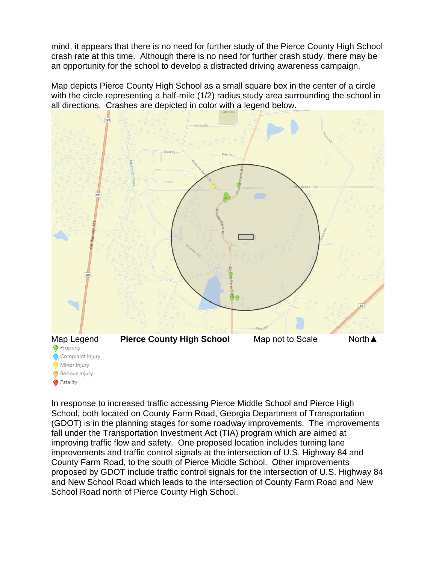mind, it appears that there is no need for further study of the Pierce County High School crash rate at this time. Although there is no need for further crash study, there may be an opportunity for the school to develop a distracted driving awareness campaign.

Map depicts Pierce County High School as a small square box in the center of a circle with the circle representing a half-mile (1/2) radius study area surrounding the school in all directions. Crashes are depicted in color with a legend below.



In response to increased traffic accessing Pierce Middle School and Pierce High School, both located on County Farm Road, Georgia Department of Transportation (GDOT) is in the planning stages for some roadway improvements. The improvements fall under the Transportation Investment Act (TIA) program which are aimed at improving traffic flow and safety. One proposed location includes turning lane improvements and traffic control signals at the intersection of U.S. Highway 84 and County Farm Road, to the south of Pierce Middle School. Other improvements proposed by GDOT include traffic control signals for the intersection of U.S. Highway 84 and New School Road which leads to the intersection of County Farm Road and New School Road north of Pierce County High School.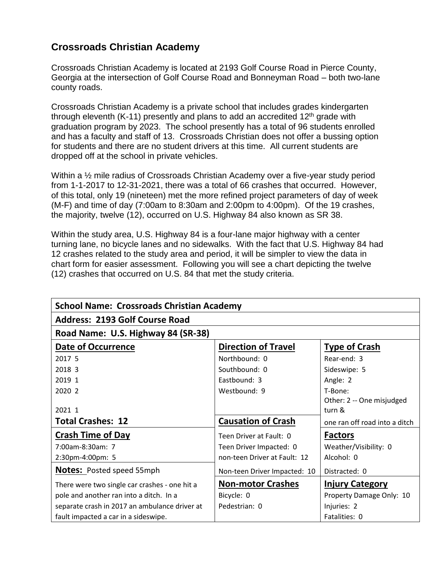# **Crossroads Christian Academy**

Crossroads Christian Academy is located at 2193 Golf Course Road in Pierce County, Georgia at the intersection of Golf Course Road and Bonneyman Road – both two-lane county roads.

Crossroads Christian Academy is a private school that includes grades kindergarten through eleventh (K-11) presently and plans to add an accredited  $12<sup>th</sup>$  grade with graduation program by 2023. The school presently has a total of 96 students enrolled and has a faculty and staff of 13. Crossroads Christian does not offer a bussing option for students and there are no student drivers at this time. All current students are dropped off at the school in private vehicles.

Within a ½ mile radius of Crossroads Christian Academy over a five-year study period from 1-1-2017 to 12-31-2021, there was a total of 66 crashes that occurred. However, of this total, only 19 (nineteen) met the more refined project parameters of day of week (M-F) and time of day (7:00am to 8:30am and 2:00pm to 4:00pm). Of the 19 crashes, the majority, twelve (12), occurred on U.S. Highway 84 also known as SR 38.

Within the study area, U.S. Highway 84 is a four-lane major highway with a center turning lane, no bicycle lanes and no sidewalks. With the fact that U.S. Highway 84 had 12 crashes related to the study area and period, it will be simpler to view the data in chart form for easier assessment. Following you will see a chart depicting the twelve (12) crashes that occurred on U.S. 84 that met the study criteria.

| <b>School Name: Crossroads Christian Academy</b> |                              |                               |  |  |
|--------------------------------------------------|------------------------------|-------------------------------|--|--|
| <b>Address: 2193 Golf Course Road</b>            |                              |                               |  |  |
| Road Name: U.S. Highway 84 (SR-38)               |                              |                               |  |  |
| <b>Date of Occurrence</b>                        | <b>Direction of Travel</b>   | <b>Type of Crash</b>          |  |  |
| 2017 5                                           | Northbound: 0                | Rear-end: 3                   |  |  |
| 2018 3                                           | Southbound: 0                | Sideswipe: 5                  |  |  |
| 2019 1                                           | Eastbound: 3                 | Angle: 2                      |  |  |
| 2020 2                                           | Westbound: 9                 | T-Bone:                       |  |  |
|                                                  |                              | Other: 2 -- One misjudged     |  |  |
| 2021 1                                           |                              | turn &                        |  |  |
| <b>Total Crashes: 12</b>                         | <b>Causation of Crash</b>    | one ran off road into a ditch |  |  |
| <b>Crash Time of Day</b>                         | Teen Driver at Fault: 0      | <b>Factors</b>                |  |  |
| 7:00am-8:30am: 7                                 | Teen Driver Impacted: 0      | Weather/Visibility: 0         |  |  |
| 2:30pm-4:00pm: 5                                 | non-teen Driver at Fault: 12 | Alcohol: 0                    |  |  |
| <b>Notes: Posted speed 55mph</b>                 | Non-teen Driver Impacted: 10 | Distracted: 0                 |  |  |
| There were two single car crashes - one hit a    | <b>Non-motor Crashes</b>     | <b>Injury Category</b>        |  |  |
| pole and another ran into a ditch. In a          | Bicycle: 0                   | Property Damage Only: 10      |  |  |
| separate crash in 2017 an ambulance driver at    | Pedestrian: 0                | Injuries: 2                   |  |  |
| fault impacted a car in a sideswipe.             |                              | Fatalities: 0                 |  |  |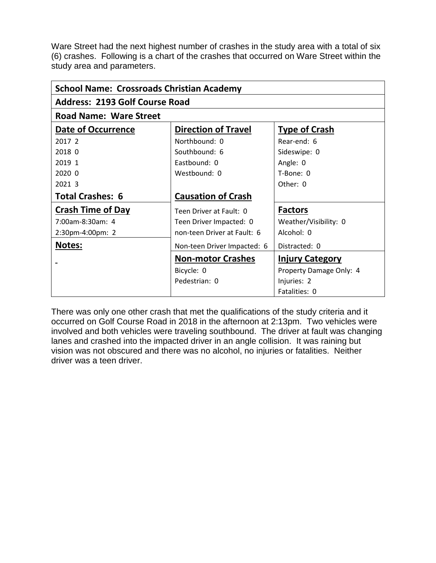Ware Street had the next highest number of crashes in the study area with a total of six (6) crashes. Following is a chart of the crashes that occurred on Ware Street within the study area and parameters.

| <b>School Name: Crossroads Christian Academy</b> |                             |                         |  |  |
|--------------------------------------------------|-----------------------------|-------------------------|--|--|
| <b>Address: 2193 Golf Course Road</b>            |                             |                         |  |  |
| <b>Road Name: Ware Street</b>                    |                             |                         |  |  |
| Date of Occurrence                               | <b>Direction of Travel</b>  | <b>Type of Crash</b>    |  |  |
| 2017 2                                           | Northbound: 0               | Rear-end: 6             |  |  |
| 2018 0                                           | Southbound: 6               | Sideswipe: 0            |  |  |
| 2019 1                                           | Eastbound: 0                | Angle: 0                |  |  |
| 2020 0                                           | Westbound: 0                | T-Bone: 0               |  |  |
| 2021 3                                           |                             | Other: $0$              |  |  |
| <b>Total Crashes: 6</b>                          | <b>Causation of Crash</b>   |                         |  |  |
| <b>Crash Time of Day</b>                         | Teen Driver at Fault: 0     | <b>Factors</b>          |  |  |
| $7:00$ am-8:30am: 4                              | Teen Driver Impacted: 0     | Weather/Visibility: 0   |  |  |
| 2:30pm-4:00pm: 2                                 | non-teen Driver at Fault: 6 | Alcohol: 0              |  |  |
| <b>Notes:</b>                                    | Non-teen Driver Impacted: 6 | Distracted: 0           |  |  |
|                                                  | <b>Non-motor Crashes</b>    | <b>Injury Category</b>  |  |  |
|                                                  | Bicycle: 0                  | Property Damage Only: 4 |  |  |
|                                                  | Pedestrian: 0               | Injuries: 2             |  |  |
|                                                  |                             | Fatalities: 0           |  |  |

There was only one other crash that met the qualifications of the study criteria and it occurred on Golf Course Road in 2018 in the afternoon at 2:13pm. Two vehicles were involved and both vehicles were traveling southbound. The driver at fault was changing lanes and crashed into the impacted driver in an angle collision. It was raining but vision was not obscured and there was no alcohol, no injuries or fatalities. Neither driver was a teen driver.